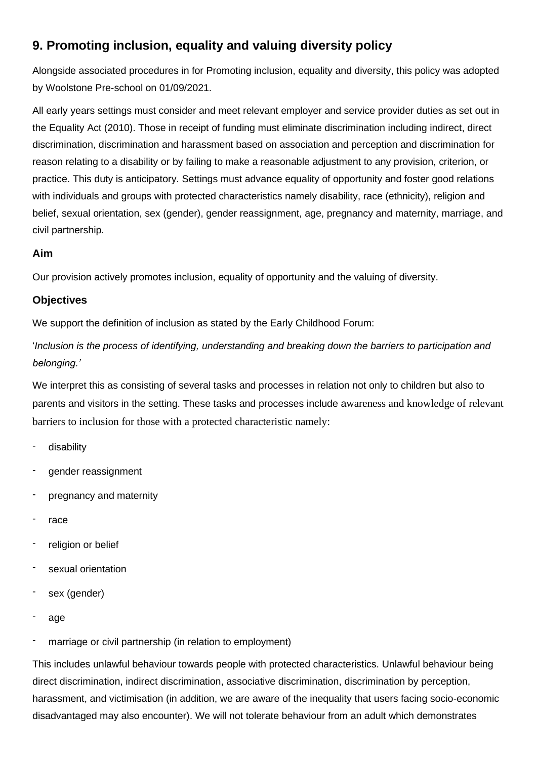## **9. Promoting inclusion, equality and valuing diversity policy**

Alongside associated procedures in for Promoting inclusion, equality and diversity, this policy was adopted by Woolstone Pre-school on 01/09/2021.

All early years settings must consider and meet relevant employer and service provider duties as set out in the Equality Act (2010). Those in receipt of funding must eliminate discrimination including indirect, direct discrimination, discrimination and harassment based on association and perception and discrimination for reason relating to a disability or by failing to make a reasonable adjustment to any provision, criterion, or practice. This duty is anticipatory. Settings must advance equality of opportunity and foster good relations with individuals and groups with protected characteristics namely disability, race (ethnicity), religion and belief, sexual orientation, sex (gender), gender reassignment, age, pregnancy and maternity, marriage, and civil partnership.

## **Aim**

Our provision actively promotes inclusion, equality of opportunity and the valuing of diversity.

## **Objectives**

We support the definition of inclusion as stated by the Early Childhood Forum:

'*Inclusion is the process of identifying, understanding and breaking down the barriers to participation and belonging.'*

We interpret this as consisting of several tasks and processes in relation not only to children but also to parents and visitors in the setting. These tasks and processes include awareness and knowledge of relevant barriers to inclusion for those with a protected characteristic namely:

- disability
- gender reassignment
- pregnancy and maternity
- race
- religion or belief
- sexual orientation
- sex (gender)
- age
- marriage or civil partnership (in relation to employment)

This includes unlawful behaviour towards people with protected characteristics. Unlawful behaviour being direct discrimination, indirect discrimination, associative discrimination, discrimination by perception, harassment, and victimisation (in addition, we are aware of the inequality that users facing socio-economic disadvantaged may also encounter). We will not tolerate behaviour from an adult which demonstrates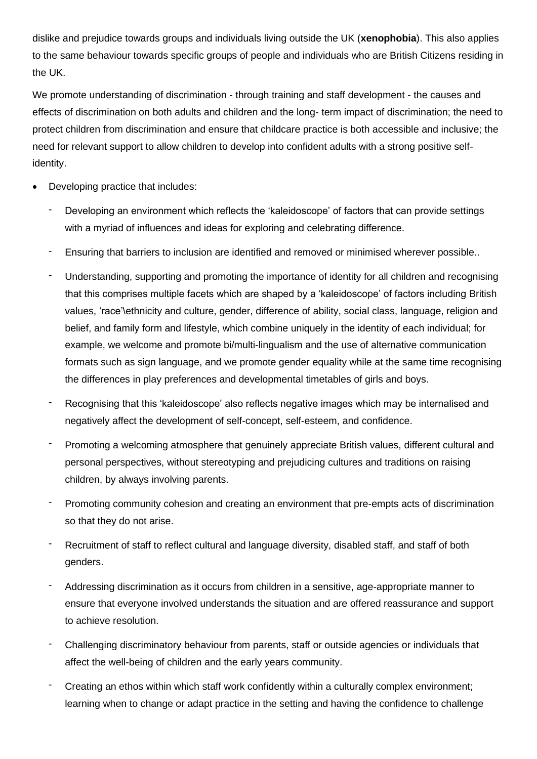dislike and prejudice towards groups and individuals living outside the UK (**xenophobia**). This also applies to the same behaviour towards specific groups of people and individuals who are British Citizens residing in the UK.

We promote understanding of discrimination - through training and staff development - the causes and effects of discrimination on both adults and children and the long- term impact of discrimination; the need to protect children from discrimination and ensure that childcare practice is both accessible and inclusive; the need for relevant support to allow children to develop into confident adults with a strong positive selfidentity.

- Developing practice that includes:
	- Developing an environment which reflects the 'kaleidoscope' of factors that can provide settings with a myriad of influences and ideas for exploring and celebrating difference.
	- Ensuring that barriers to inclusion are identified and removed or minimised wherever possible..
	- Understanding, supporting and promoting the importance of identity for all children and recognising that this comprises multiple facets which are shaped by a 'kaleidoscope' of factors including British values, 'race'\ethnicity and culture, gender, difference of ability, social class, language, religion and belief, and family form and lifestyle, which combine uniquely in the identity of each individual; for example, we welcome and promote bi/multi-lingualism and the use of alternative communication formats such as sign language, and we promote gender equality while at the same time recognising the differences in play preferences and developmental timetables of girls and boys.
	- Recognising that this 'kaleidoscope' also reflects negative images which may be internalised and negatively affect the development of self-concept, self-esteem, and confidence.
	- Promoting a welcoming atmosphere that genuinely appreciate British values, different cultural and personal perspectives, without stereotyping and prejudicing cultures and traditions on raising children, by always involving parents.
	- Promoting community cohesion and creating an environment that pre-empts acts of discrimination so that they do not arise.
	- Recruitment of staff to reflect cultural and language diversity, disabled staff, and staff of both genders.
	- Addressing discrimination as it occurs from children in a sensitive, age-appropriate manner to ensure that everyone involved understands the situation and are offered reassurance and support to achieve resolution.
	- Challenging discriminatory behaviour from parents, staff or outside agencies or individuals that affect the well-being of children and the early years community.
	- Creating an ethos within which staff work confidently within a culturally complex environment; learning when to change or adapt practice in the setting and having the confidence to challenge